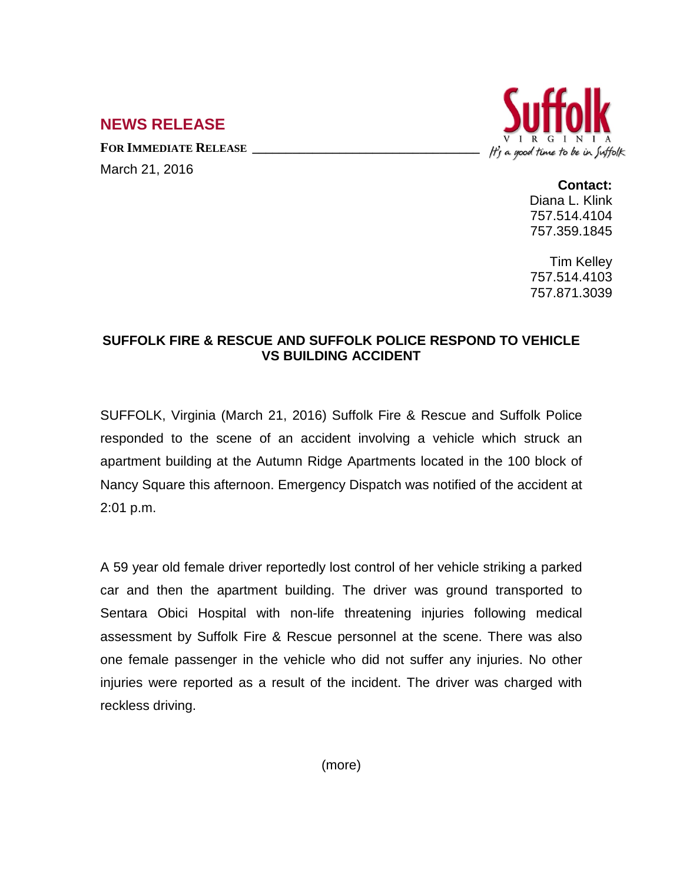## **NEWS RELEASE**

FOR **IMMEDIATE RELEASE** 

March 21, 2016



## **Contact:**

Diana L. Klink 757.514.4104 757.359.1845

Tim Kelley 757.514.4103 757.871.3039

## **SUFFOLK FIRE & RESCUE AND SUFFOLK POLICE RESPOND TO VEHICLE VS BUILDING ACCIDENT**

SUFFOLK, Virginia (March 21, 2016) Suffolk Fire & Rescue and Suffolk Police responded to the scene of an accident involving a vehicle which struck an apartment building at the Autumn Ridge Apartments located in the 100 block of Nancy Square this afternoon. Emergency Dispatch was notified of the accident at 2:01 p.m.

A 59 year old female driver reportedly lost control of her vehicle striking a parked car and then the apartment building. The driver was ground transported to Sentara Obici Hospital with non-life threatening injuries following medical assessment by Suffolk Fire & Rescue personnel at the scene. There was also one female passenger in the vehicle who did not suffer any injuries. No other injuries were reported as a result of the incident. The driver was charged with reckless driving.

(more)